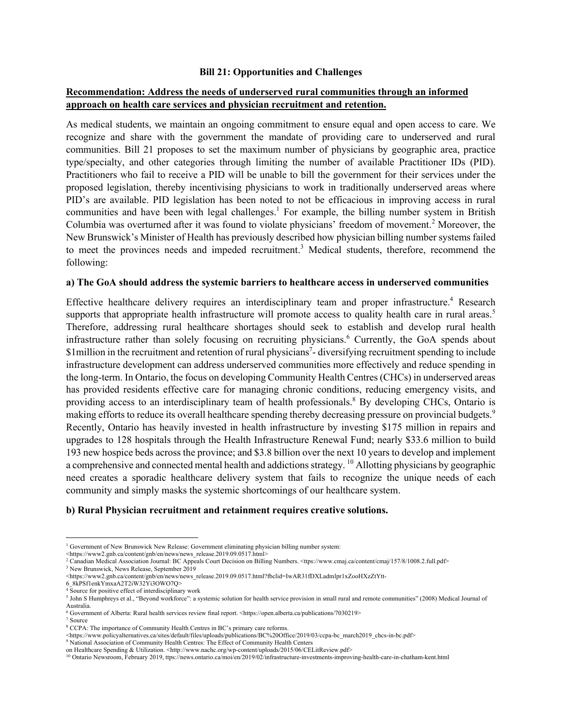#### **Bill 21: Opportunities and Challenges**

## **Recommendation: Address the needs of underserved rural communities through an informed approach on health care services and physician recruitment and retention.**

As medical students, we maintain an ongoing commitment to ensure equal and open access to care. We recognize and share with the government the mandate of providing care to underserved and rural communities. Bill 21 proposes to set the maximum number of physicians by geographic area, practice type/specialty, and other categories through limiting the number of available Practitioner IDs (PID). Practitioners who fail to receive a PID will be unable to bill the government for their services under the proposed legislation, thereby incentivising physicians to work in traditionally underserved areas where PID's are available. PID legislation has been noted to not be efficacious in improving access in rural communities and have been with legal challenges.<sup>1</sup> For example, the billing number system in British Columbia was overturned after it was found to violate physicians' freedom of movement.<sup>2</sup> Moreover, the New Brunswick's Minister of Health has previously described how physician billing number systems failed to meet the provinces needs and impeded recruitment.<sup>3</sup> Medical students, therefore, recommend the following:

### **a) The GoA should address the systemic barriers to healthcare access in underserved communities**

Effective healthcare delivery requires an interdisciplinary team and proper infrastructure.<sup>4</sup> Research supports that appropriate health infrastructure will promote access to quality health care in rural areas.<sup>5</sup> Therefore, addressing rural healthcare shortages should seek to establish and develop rural health infrastructure rather than solely focusing on recruiting physicians.<sup>6</sup> Currently, the GoA spends about \$1 million in the recruitment and retention of rural physicians<sup>7</sup> - diversifying recruitment spending to include infrastructure development can address underserved communities more effectively and reduce spending in the long-term. In Ontario, the focus on developing Community Health Centres (CHCs) in underserved areas has provided residents effective care for managing chronic conditions, reducing emergency visits, and providing access to an interdisciplinary team of health professionals.<sup>8</sup> By developing CHCs, Ontario is making efforts to reduce its overall healthcare spending thereby decreasing pressure on provincial budgets.<sup>9</sup> Recently, Ontario has heavily invested in health infrastructure by investing \$175 million in repairs and upgrades to 128 hospitals through the Health Infrastructure Renewal Fund; nearly \$33.6 million to build 193 new hospice beds across the province; and \$3.8 billion over the next 10 years to develop and implement a comprehensive and connected mental health and addictions strategy.  $^{10}$  Allotting physicians by geographic need creates a sporadic healthcare delivery system that fails to recognize the unique needs of each community and simply masks the systemic shortcomings of our healthcare system.

## **b) Rural Physician recruitment and retainment requires creative solutions.**

<sup>&</sup>lt;sup>1</sup> Government of New Brunswick New Release: Government eliminating physician billing number system:

<sup>&</sup>lt;https://www2.gnb.ca/content/gnb/en/news/news\_release.2019.09.0517.html>

<sup>2</sup> Canadian Medical Association Journal: BC Appeals Court Decision on Billing Numbers. <ttps://www.cmaj.ca/content/cmaj/157/8/1008.2.full.pdf>

<sup>3</sup> New Brunswick, News Release, September 2019

 $\verb|/www2.gnb.ca/content/gnb/en/news/news_release.2019.09.0517.html?fbclid=IwAR31fDXLadmlpr1xZooHXZzYtt-6_8kPSflenkYmxaA2T2iW32Yi3OWO7Q>$ 

 $4\overline{S}$ ource for positive effect of interdisciplinary work

<sup>&</sup>lt;sup>5</sup> John S Humphreys et al., "Beyond workforce": a systemic solution for health service provision in small rural and remote communities" (2008) Medical Journal of Australia.

<sup>6</sup> Government of Alberta: Rural health services review final report. <https://open.alberta.ca/publications/7030219> <sup>7</sup> Source

<sup>8</sup> CCPA: The importance of Community Health Centres in BC's primary care reforms.

<sup>&</sup>lt;https://www.policyalternatives.ca/sites/default/files/uploads/publications/BC%20Office/2019/03/ccpa-bc\_march2019\_chcs-in-bc.pdf>

<sup>9</sup> National Association of Community Health Centres: The Effect of Community Health Centers

on Healthcare Spending & Utilization. <http://www.nachc.org/wp-content/uploads/2015/06/CELitReview.pdf>

<sup>10</sup> Ontario Newsroom, February 2019, ttps://news.ontario.ca/moi/en/2019/02/infrastructure-investments-improving-health-care-in-chatham-kent.html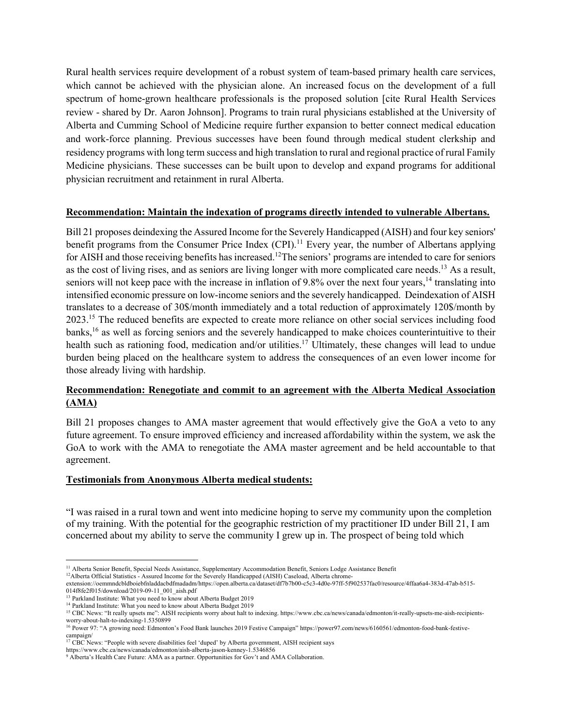Rural health services require development of a robust system of team-based primary health care services, which cannot be achieved with the physician alone. An increased focus on the development of a full spectrum of home-grown healthcare professionals is the proposed solution [cite Rural Health Services review - shared by Dr. Aaron Johnson]. Programs to train rural physicians established at the University of Alberta and Cumming School of Medicine require further expansion to better connect medical education and work-force planning. Previous successes have been found through medical student clerkship and residency programs with long term success and high translation to rural and regional practice of rural Family Medicine physicians. These successes can be built upon to develop and expand programs for additional physician recruitment and retainment in rural Alberta.

## **Recommendation: Maintain the indexation of programs directly intended to vulnerable Albertans.**

Bill 21 proposes deindexing the Assured Income for the Severely Handicapped (AISH) and four key seniors' benefit programs from the Consumer Price Index  $(CPI)$ .<sup>11</sup> Every year, the number of Albertans applying for AISH and those receiving benefits has increased.<sup>12</sup>The seniors' programs are intended to care for seniors as the cost of living rises, and as seniors are living longer with more complicated care needs.<sup>13</sup> As a result, seniors will not keep pace with the increase in inflation of 9.8% over the next four years,<sup>14</sup> translating into intensified economic pressure on low-income seniors and the severely handicapped. Deindexation of AISH translates to a decrease of 30\$/month immediately and a total reduction of approximately 120\$/month by 2023.<sup>15</sup> The reduced benefits are expected to create more reliance on other social services including food banks,<sup>16</sup> as well as forcing seniors and the severely handicapped to make choices counterintuitive to their health such as rationing food, medication and/or utilities.<sup>17</sup> Ultimately, these changes will lead to undue burden being placed on the healthcare system to address the consequences of an even lower income for those already living with hardship.

# **Recommendation: Renegotiate and commit to an agreement with the Alberta Medical Association (AMA)**

Bill 21 proposes changes to AMA master agreement that would effectively give the GoA a veto to any future agreement. To ensure improved efficiency and increased affordability within the system, we ask the GoA to work with the AMA to renegotiate the AMA master agreement and be held accountable to that agreement.

#### **Testimonials from Anonymous Alberta medical students:**

"I was raised in a rural town and went into medicine hoping to serve my community upon the completion of my training. With the potential for the geographic restriction of my practitioner ID under Bill 21, I am concerned about my ability to serve the community I grew up in. The prospect of being told which

<sup>&</sup>lt;sup>11</sup> Alberta Senior Benefit, Special Needs Assistance, Supplementary Accommodation Benefit, Seniors Lodge Assistance Benefit

<sup>&</sup>lt;sup>12</sup>Alberta Official Statistics - Assured Income for the Severely Handicapped (AISH) Caseload, Alberta chrome-

extension://oemmndcbldboiebfnladdacbdfmadadm/https://open.alberta.ca/dataset/df7b7b00-c5c3-4d0e-97ff-5f902537fac0/resource/4ffaa6a4-383d-47ab-b515- 014f8fe2f015/download/2019-09-11\_001\_aish.pdf

<sup>&</sup>lt;sup>13</sup> Parkland Institute: What you need to know about Alberta Budget 2019

<sup>&</sup>lt;sup>14</sup> Parkland Institute: What you need to know about Alberta Budget 2019

<sup>&</sup>lt;sup>15</sup> CBC News: "It really upsets me": AISH recipients worry about halt to indexing. https://www.cbc.ca/news/canada/edmonton/it-really-upsets-me-aish-recipientsworry-about-halt-to-indexing-1.5350899

<sup>16</sup> Power 97: "A growing need: Edmonton's Food Bank launches 2019 Festive Campaign" https://power97.com/news/6160561/edmonton-food-bank-festivecampaign/<br><sup>17</sup> CBC News: "People with severe disabilities feel 'duped' by Alberta government, AISH recipient says<br>https://www.cbc.ca/news/canada/edmonton/aish-alberta-jason-kenney-1.5346856

<sup>&</sup>lt;sup>9</sup> Alberta's Health Care Future: AMA as a partner. Opportunities for Gov't and AMA Collaboration.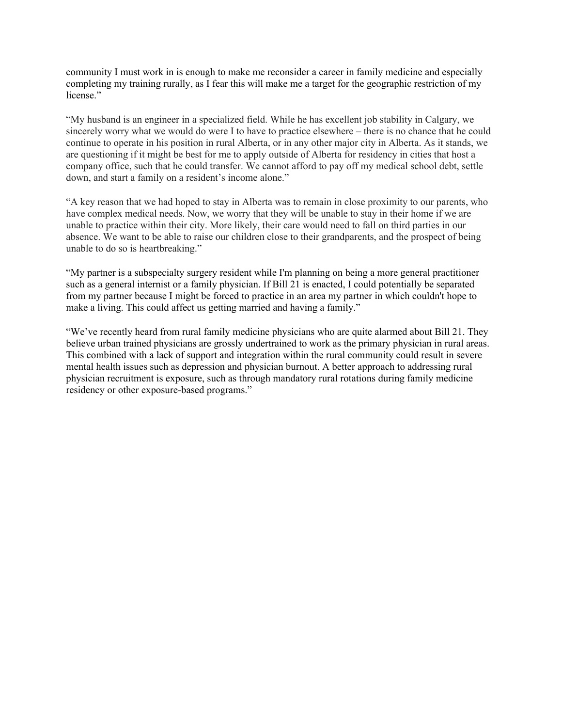community I must work in is enough to make me reconsider a career in family medicine and especially completing my training rurally, as I fear this will make me a target for the geographic restriction of my license."

"My husband is an engineer in a specialized field. While he has excellent job stability in Calgary, we sincerely worry what we would do were I to have to practice elsewhere – there is no chance that he could continue to operate in his position in rural Alberta, or in any other major city in Alberta. As it stands, we are questioning if it might be best for me to apply outside of Alberta for residency in cities that host a company office, such that he could transfer. We cannot afford to pay off my medical school debt, settle down, and start a family on a resident's income alone."

"A key reason that we had hoped to stay in Alberta was to remain in close proximity to our parents, who have complex medical needs. Now, we worry that they will be unable to stay in their home if we are unable to practice within their city. More likely, their care would need to fall on third parties in our absence. We want to be able to raise our children close to their grandparents, and the prospect of being unable to do so is heartbreaking."

"My partner is a subspecialty surgery resident while I'm planning on being a more general practitioner such as a general internist or a family physician. If Bill 21 is enacted, I could potentially be separated from my partner because I might be forced to practice in an area my partner in which couldn't hope to make a living. This could affect us getting married and having a family."

"We've recently heard from rural family medicine physicians who are quite alarmed about Bill 21. They believe urban trained physicians are grossly undertrained to work as the primary physician in rural areas. This combined with a lack of support and integration within the rural community could result in severe mental health issues such as depression and physician burnout. A better approach to addressing rural physician recruitment is exposure, such as through mandatory rural rotations during family medicine residency or other exposure-based programs."